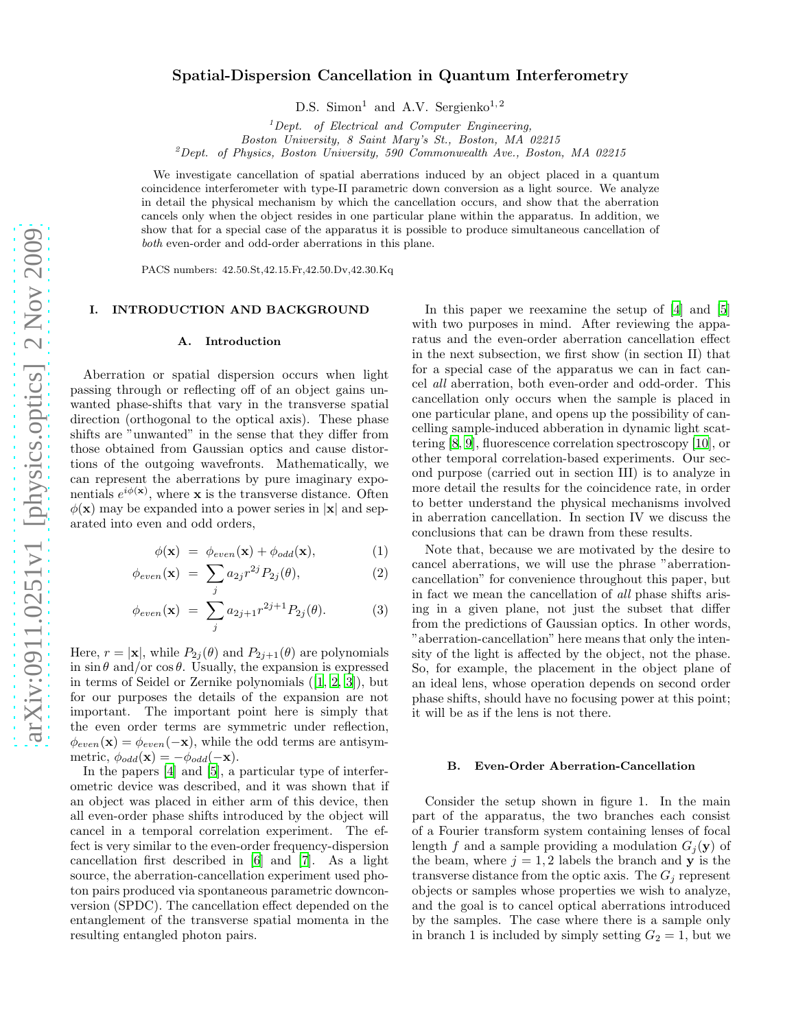# Spatial-Dispersion Cancellation in Quantum Interferometry

D.S. Simon<sup>1</sup> and A.V. Sergienko<sup>1,2</sup>

 ${}^{1}$ Dept. of Electrical and Computer Engineering,

Boston University, 8 Saint Mary's St., Boston, MA 02215

<sup>2</sup>Dept. of Physics, Boston University, 590 Commonwealth Ave., Boston, MA 02215

We investigate cancellation of spatial aberrations induced by an object placed in a quantum coincidence interferometer with type-II parametric down conversion as a light source. We analyze in detail the physical mechanism by which the cancellation occurs, and show that the aberration cancels only when the object resides in one particular plane within the apparatus. In addition, we show that for a special case of the apparatus it is possible to produce simultaneous cancellation of both even-order and odd-order aberrations in this plane.

PACS numbers: 42.50.St,42.15.Fr,42.50.Dv,42.30.Kq

## I. INTRODUCTION AND BACKGROUND

#### A. Introduction

Aberration or spatial dispersion occurs when light passing through or reflecting off of an object gains unwanted phase-shifts that vary in the transverse spatial direction (orthogonal to the optical axis). These phase shifts are "unwanted" in the sense that they differ from those obtained from Gaussian optics and cause distortions of the outgoing wavefronts. Mathematically, we can represent the aberrations by pure imaginary exponentials  $e^{i\phi(\mathbf{x})}$ , where **x** is the transverse distance. Often  $\phi(\mathbf{x})$  may be expanded into a power series in  $|\mathbf{x}|$  and separated into even and odd orders,

$$
\phi(\mathbf{x}) = \phi_{even}(\mathbf{x}) + \phi_{odd}(\mathbf{x}), \tag{1}
$$

$$
\phi_{even}(\mathbf{x}) = \sum_j a_{2j} r^{2j} P_{2j}(\theta), \qquad (2)
$$

$$
\phi_{even}(\mathbf{x}) = \sum_{j} a_{2j+1} r^{2j+1} P_{2j}(\theta). \tag{3}
$$

Here,  $r = |\mathbf{x}|$ , while  $P_{2j}(\theta)$  and  $P_{2j+1}(\theta)$  are polynomials in  $\sin \theta$  and/or  $\cos \theta$ . Usually, the expansion is expressed in terms of Seidel or Zernike polynomials ([\[1,](#page-7-0) [2](#page-7-1), [3](#page-7-2)]), but for our purposes the details of the expansion are not important. The important point here is simply that the even order terms are symmetric under reflection,  $\phi_{even}(\mathbf{x}) = \phi_{even}(-\mathbf{x})$ , while the odd terms are antisymmetric,  $\phi_{odd}(\mathbf{x}) = -\phi_{odd}(-\mathbf{x}).$ 

In the papers [\[4\]](#page-7-3) and [\[5\]](#page-7-4), a particular type of interferometric device was described, and it was shown that if an object was placed in either arm of this device, then all even-order phase shifts introduced by the object will cancel in a temporal correlation experiment. The effect is very similar to the even-order frequency-dispersion cancellation first described in [\[6](#page-7-5)] and [\[7](#page-7-6)]. As a light source, the aberration-cancellation experiment used photon pairs produced via spontaneous parametric downconversion (SPDC). The cancellation effect depended on the entanglement of the transverse spatial momenta in the resulting entangled photon pairs.

In this paper we reexamine the setup of [\[4](#page-7-3)] and [\[5](#page-7-4)] with two purposes in mind. After reviewing the apparatus and the even-order aberration cancellation effect in the next subsection, we first show (in section II) that for a special case of the apparatus we can in fact cancel all aberration, both even-order and odd-order. This cancellation only occurs when the sample is placed in one particular plane, and opens up the possibility of cancelling sample-induced abberation in dynamic light scattering [\[8,](#page-7-7) [9](#page-7-8)], fluorescence correlation spectroscopy [\[10](#page-7-9)], or other temporal correlation-based experiments. Our second purpose (carried out in section III) is to analyze in more detail the results for the coincidence rate, in order to better understand the physical mechanisms involved in aberration cancellation. In section IV we discuss the conclusions that can be drawn from these results.

Note that, because we are motivated by the desire to cancel aberrations, we will use the phrase "aberrationcancellation" for convenience throughout this paper, but in fact we mean the cancellation of all phase shifts arising in a given plane, not just the subset that differ from the predictions of Gaussian optics. In other words, "aberration-cancellation" here means that only the intensity of the light is affected by the object, not the phase. So, for example, the placement in the object plane of an ideal lens, whose operation depends on second order phase shifts, should have no focusing power at this point; it will be as if the lens is not there.

#### B. Even-Order Aberration-Cancellation

Consider the setup shown in figure 1. In the main part of the apparatus, the two branches each consist of a Fourier transform system containing lenses of focal length f and a sample providing a modulation  $G_i(\mathbf{y})$  of the beam, where  $j = 1, 2$  labels the branch and **y** is the transverse distance from the optic axis. The  $G_j$  represent objects or samples whose properties we wish to analyze, and the goal is to cancel optical aberrations introduced by the samples. The case where there is a sample only in branch 1 is included by simply setting  $G_2 = 1$ , but we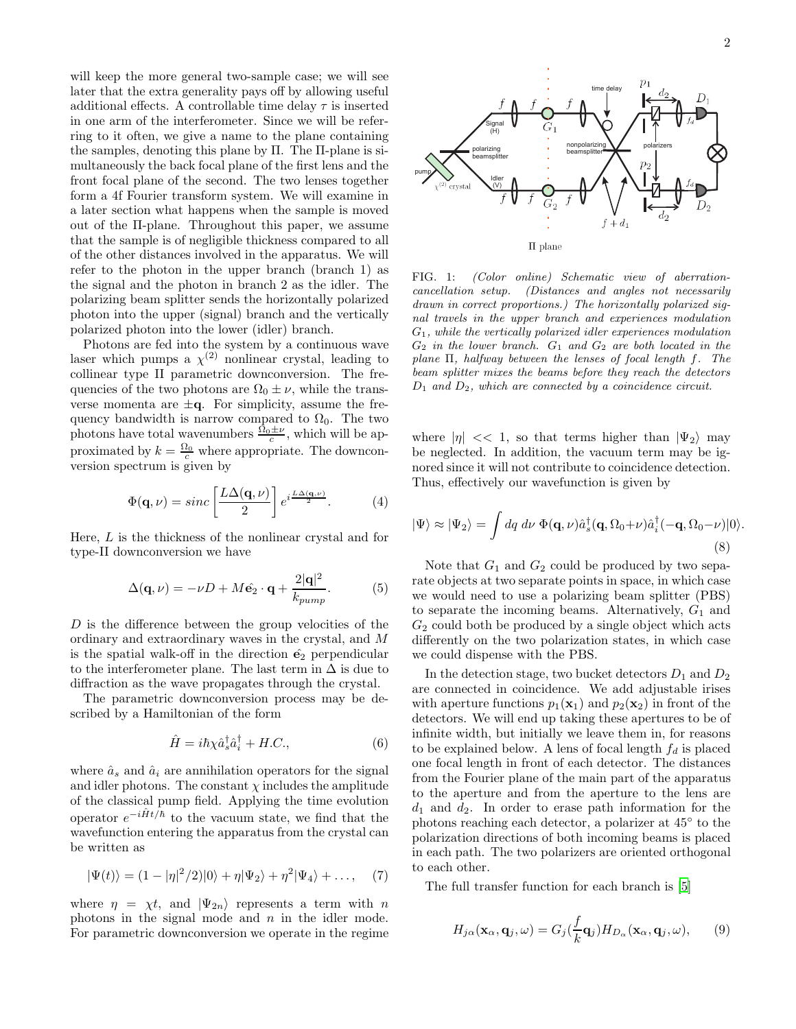will keep the more general two-sample case; we will see later that the extra generality pays off by allowing useful additional effects. A controllable time delay  $\tau$  is inserted in one arm of the interferometer. Since we will be referring to it often, we give a name to the plane containing the samples, denoting this plane by Π. The Π-plane is simultaneously the back focal plane of the first lens and the front focal plane of the second. The two lenses together form a 4f Fourier transform system. We will examine in a later section what happens when the sample is moved out of the Π-plane. Throughout this paper, we assume that the sample is of negligible thickness compared to all of the other distances involved in the apparatus. We will refer to the photon in the upper branch (branch 1) as the signal and the photon in branch 2 as the idler. The polarizing beam splitter sends the horizontally polarized photon into the upper (signal) branch and the vertically polarized photon into the lower (idler) branch.

Photons are fed into the system by a continuous wave laser which pumps a  $\chi^{(2)}$  nonlinear crystal, leading to collinear type II parametric downconversion. The frequencies of the two photons are  $\Omega_0 \pm \nu$ , while the transverse momenta are  $\pm q$ . For simplicity, assume the frequency bandwidth is narrow compared to  $\Omega_0$ . The two photons have total wavenumbers  $\frac{\Omega_0 \pm \nu}{c}$ , which will be approximated by  $k = \frac{\Omega_0}{c}$  where appropriate. The downconversion spectrum is given by

$$
\Phi(\mathbf{q},\nu) = sinc\left[\frac{L\Delta(\mathbf{q},\nu)}{2}\right]e^{i\frac{L\Delta(\mathbf{q},\nu)}{2}}.\tag{4}
$$

Here,  $L$  is the thickness of the nonlinear crystal and for type-II downconversion we have

$$
\Delta(\mathbf{q}, \nu) = -\nu D + M\hat{\mathbf{e}}_2 \cdot \mathbf{q} + \frac{2|\mathbf{q}|^2}{k_{pump}}.
$$
 (5)

D is the difference between the group velocities of the ordinary and extraordinary waves in the crystal, and M is the spatial walk-off in the direction  $\hat{\mathbf{e}}_2$  perpendicular to the interferometer plane. The last term in  $\Delta$  is due to diffraction as the wave propagates through the crystal.

The parametric downconversion process may be described by a Hamiltonian of the form

$$
\hat{H} = i\hbar\chi\hat{a}_s^\dagger\hat{a}_i^\dagger + H.C.,\tag{6}
$$

where  $\hat{a}_s$  and  $\hat{a}_i$  are annihilation operators for the signal and idler photons. The constant  $\chi$  includes the amplitude of the classical pump field. Applying the time evolution operator  $e^{-i\hat{H}t/\hbar}$  to the vacuum state, we find that the wavefunction entering the apparatus from the crystal can be written as

$$
|\Psi(t)\rangle = (1 - |\eta|^2/2)|0\rangle + \eta|\Psi_2\rangle + \eta^2|\Psi_4\rangle + \dots, \quad (7)
$$

where  $\eta = \chi t$ , and  $|\Psi_{2n}\rangle$  represents a term with n photons in the signal mode and  $n$  in the idler mode. For parametric downconversion we operate in the regime



FIG. 1: (Color online) Schematic view of aberrationcancellation setup. (Distances and angles not necessarily drawn in correct proportions.) The horizontally polarized signal travels in the upper branch and experiences modulation  $G_1$ , while the vertically polarized idler experiences modulation  $G_2$  in the lower branch.  $G_1$  and  $G_2$  are both located in the plane Π, halfway between the lenses of focal length f. The beam splitter mixes the beams before they reach the detectors  $D_1$  and  $D_2$ , which are connected by a coincidence circuit.

where  $|\eta| \ll 1$ , so that terms higher than  $|\Psi_2\rangle$  may be neglected. In addition, the vacuum term may be ignored since it will not contribute to coincidence detection. Thus, effectively our wavefunction is given by

$$
|\Psi\rangle \approx |\Psi_2\rangle = \int dq \, d\nu \, \Phi(\mathbf{q}, \nu) \hat{a}_s^\dagger(\mathbf{q}, \Omega_0 + \nu) \hat{a}_i^\dagger(-\mathbf{q}, \Omega_0 - \nu)|0\rangle.
$$
\n(8)

Note that  $G_1$  and  $G_2$  could be produced by two separate objects at two separate points in space, in which case we would need to use a polarizing beam splitter (PBS) to separate the incoming beams. Alternatively,  $G_1$  and  $G<sub>2</sub>$  could both be produced by a single object which acts differently on the two polarization states, in which case we could dispense with the PBS.

In the detection stage, two bucket detectors  $D_1$  and  $D_2$ are connected in coincidence. We add adjustable irises with aperture functions  $p_1(\mathbf{x}_1)$  and  $p_2(\mathbf{x}_2)$  in front of the detectors. We will end up taking these apertures to be of infinite width, but initially we leave them in, for reasons to be explained below. A lens of focal length  $f_d$  is placed one focal length in front of each detector. The distances from the Fourier plane of the main part of the apparatus to the aperture and from the aperture to the lens are  $d_1$  and  $d_2$ . In order to erase path information for the photons reaching each detector, a polarizer at 45◦ to the polarization directions of both incoming beams is placed in each path. The two polarizers are oriented orthogonal to each other.

The full transfer function for each branch is [\[5](#page-7-4)]

<span id="page-1-0"></span>
$$
H_{j\alpha}(\mathbf{x}_{\alpha}, \mathbf{q}_{j}, \omega) = G_{j}(\frac{f}{k}\mathbf{q}_{j}) H_{D_{\alpha}}(\mathbf{x}_{\alpha}, \mathbf{q}_{j}, \omega),
$$
 (9)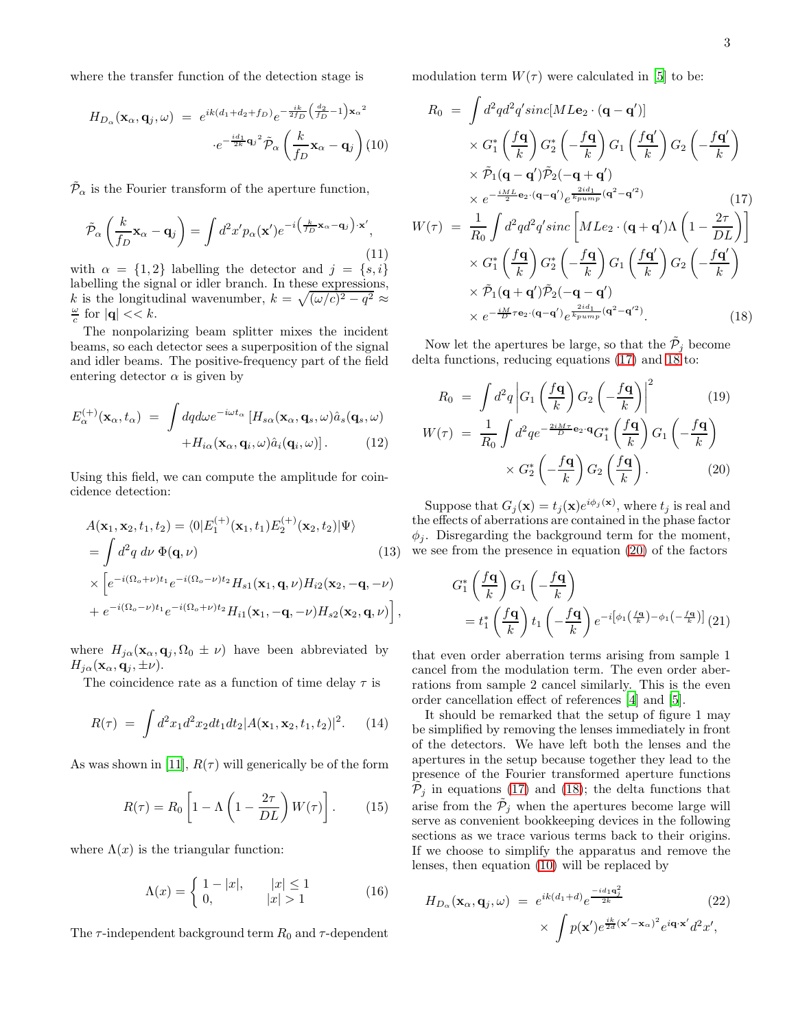where the transfer function of the detection stage is

<span id="page-2-2"></span>
$$
H_{D_{\alpha}}(\mathbf{x}_{\alpha}, \mathbf{q}_{j}, \omega) = e^{ik(d_{1} + d_{2} + f_{D})} e^{-\frac{ik}{2f_{D}} \left(\frac{d_{2}}{f_{D}} - 1\right) \mathbf{x}_{\alpha}^{2}}
$$

$$
\cdot e^{-\frac{id_{1}}{2k} \mathbf{q}_{j}^{2}} \tilde{\mathcal{P}}_{\alpha} \left(\frac{k}{f_{D}} \mathbf{x}_{\alpha} - \mathbf{q}_{j}\right) (10)
$$

 $\tilde{\mathcal{P}}_{\alpha}$  is the Fourier transform of the aperture function,

$$
\tilde{\mathcal{P}}_{\alpha}\left(\frac{k}{f_D}\mathbf{x}_{\alpha}-\mathbf{q}_j\right)=\int d^2x'p_{\alpha}(\mathbf{x}')e^{-i\left(\frac{k}{f_D}\mathbf{x}_{\alpha}-\mathbf{q}_j\right)\cdot\mathbf{x}'},\tag{11}
$$

with  $\alpha = \{1, 2\}$  labelling the detector and  $j = \{s, i\}$ labelling the signal or idler branch. In these expressions, k is the longitudinal wavenumber,  $k = \sqrt{(\omega/c)^2 - q^2} \approx$  $\frac{\omega}{c}$  for  $|\mathbf{q}| \ll k$ .

The nonpolarizing beam splitter mixes the incident beams, so each detector sees a superposition of the signal and idler beams. The positive-frequency part of the field entering detector  $\alpha$  is given by

$$
E_{\alpha}^{(+)}(\mathbf{x}_{\alpha},t_{\alpha}) = \int dqd\omega e^{-i\omega t_{\alpha}} \left[ H_{s\alpha}(\mathbf{x}_{\alpha},\mathbf{q}_{s},\omega)\hat{a}_{s}(\mathbf{q}_{s},\omega) + H_{i\alpha}(\mathbf{x}_{\alpha},\mathbf{q}_{i},\omega)\hat{a}_{i}(\mathbf{q}_{i},\omega) \right].
$$
 (12)

Using this field, we can compute the amplitude for coincidence detection:

$$
A(\mathbf{x}_1, \mathbf{x}_2, t_1, t_2) = \langle 0|E_1^{(+)}(\mathbf{x}_1, t_1)E_2^{(+)}(\mathbf{x}_2, t_2)|\Psi\rangle
$$
  
\n
$$
= \int d^2q \, d\nu \, \Phi(\mathbf{q}, \nu)
$$
(13)  
\n
$$
\times \left[e^{-i(\Omega_o + \nu)t_1}e^{-i(\Omega_o - \nu)t_2}H_{s1}(\mathbf{x}_1, \mathbf{q}, \nu)H_{i2}(\mathbf{x}_2, -\mathbf{q}, -\nu)\right]
$$
  
\n
$$
+ e^{-i(\Omega_o - \nu)t_1}e^{-i(\Omega_o + \nu)t_2}H_{i1}(\mathbf{x}_1, -\mathbf{q}, -\nu)H_{s2}(\mathbf{x}_2, \mathbf{q}, \nu)\right],
$$

where  $H_{i\alpha}(\mathbf{x}_{\alpha}, \mathbf{q}_i, \Omega_0 \pm \nu)$  have been abbreviated by  $H_{j\alpha}(\mathbf{x}_{\alpha}, \mathbf{q}_j, \pm \nu).$ 

The coincidence rate as a function of time delay  $\tau$  is

$$
R(\tau) = \int d^2x_1 d^2x_2 dt_1 dt_2 |A(\mathbf{x}_1, \mathbf{x}_2, t_1, t_2)|^2.
$$
 (14)

As was shown in [\[11\]](#page-7-10),  $R(\tau)$  will generically be of the form

<span id="page-2-3"></span>
$$
R(\tau) = R_0 \left[ 1 - \Lambda \left( 1 - \frac{2\tau}{DL} \right) W(\tau) \right]. \tag{15}
$$

where  $\Lambda(x)$  is the triangular function:

$$
\Lambda(x) = \begin{cases} 1 - |x|, & |x| \le 1 \\ 0, & |x| > 1 \end{cases}
$$
 (16)

The  $\tau$ -independent background term  $R_0$  and  $\tau$ -dependent

modulation term  $W(\tau)$  were calculated in [\[5](#page-7-4)] to be:

<span id="page-2-0"></span>
$$
R_0 = \int d^2q d^2q' sinc[ML\mathbf{e}_2 \cdot (\mathbf{q} - \mathbf{q}')] \times G_1^* \left(\frac{f\mathbf{q}}{k}\right) G_2^* \left(-\frac{f\mathbf{q}}{k}\right) G_1 \left(\frac{f\mathbf{q}'}{k}\right) G_2 \left(-\frac{f\mathbf{q}'}{k}\right) \times \tilde{\mathcal{P}}_1(\mathbf{q} - \mathbf{q}') \tilde{\mathcal{P}}_2(-\mathbf{q} + \mathbf{q}') \times e^{-\frac{iM_L}{2} \mathbf{e}_2 \cdot (\mathbf{q} - \mathbf{q}')} e^{\frac{2id_1}{2} (\mathbf{q}^2 - \mathbf{q}'^2)} W(\tau) = \frac{1}{R_0} \int d^2q d^2q' sinc \left[ MLe_2 \cdot (\mathbf{q} + \mathbf{q}') \Lambda \left(1 - \frac{2\tau}{DL}\right) \right] \times G_1^* \left(\frac{f\mathbf{q}}{k}\right) G_2^* \left(-\frac{f\mathbf{q}}{k}\right) G_1 \left(\frac{f\mathbf{q}'}{k}\right) G_2 \left(-\frac{f\mathbf{q}'}{k}\right) \times \tilde{\mathcal{P}}_1(\mathbf{q} + \mathbf{q}') \tilde{\mathcal{P}}_2(-\mathbf{q} - \mathbf{q}') \times e^{-\frac{iM}{D}\tau \mathbf{e}_2 \cdot (\mathbf{q} - \mathbf{q}')} e^{\frac{2id_1}{2} (\mathbf{q}^2 - \mathbf{q}'^2)}.
$$
\n(18)

Now let the apertures be large, so that the  $\tilde{P}_j$  become delta functions, reducing equations [\(17\)](#page-2-0) and [18](#page-2-0) to:

<span id="page-2-1"></span>
$$
R_0 = \int d^2q \left| G_1 \left( \frac{f\mathbf{q}}{k} \right) G_2 \left( -\frac{f\mathbf{q}}{k} \right) \right|^2 \qquad (19)
$$
  

$$
W(\tau) = \frac{1}{R_0} \int d^2q e^{-\frac{2iM\tau}{D} \mathbf{e}_2 \cdot \mathbf{q}} G_1^* \left( \frac{f\mathbf{q}}{k} \right) G_1 \left( -\frac{f\mathbf{q}}{k} \right)
$$
  

$$
\times G_2^* \left( -\frac{f\mathbf{q}}{k} \right) G_2 \left( \frac{f\mathbf{q}}{k} \right). \qquad (20)
$$

Suppose that  $G_j(\mathbf{x}) = t_j(\mathbf{x})e^{i\phi_j(\mathbf{x})}$ , where  $t_j$  is real and the effects of aberrations are contained in the phase factor  $\phi_j$ . Disregarding the background term for the moment, we see from the presence in equation [\(20\)](#page-2-1) of the factors

$$
G_1^* \left(\frac{f\mathbf{q}}{k}\right) G_1 \left(-\frac{f\mathbf{q}}{k}\right)
$$
  
=  $t_1^* \left(\frac{f\mathbf{q}}{k}\right) t_1 \left(-\frac{f\mathbf{q}}{k}\right) e^{-i\left[\phi_1\left(\frac{f\mathbf{q}}{k}\right) - \phi_1\left(-\frac{f\mathbf{q}}{k}\right)\right]} (21)$ 

that even order aberration terms arising from sample 1 cancel from the modulation term. The even order aberrations from sample 2 cancel similarly. This is the even order cancellation effect of references [\[4\]](#page-7-3) and [\[5](#page-7-4)].

It should be remarked that the setup of figure 1 may be simplified by removing the lenses immediately in front of the detectors. We have left both the lenses and the apertures in the setup because together they lead to the presence of the Fourier transformed aperture functions  $\tilde{\mathcal{P}}_j$  in equations [\(17\)](#page-2-0) and [\(18\)](#page-2-0); the delta functions that arise from the  $\tilde{P}_j$  when the apertures become large will serve as convenient bookkeeping devices in the following sections as we trace various terms back to their origins. If we choose to simplify the apparatus and remove the lenses, then equation [\(10\)](#page-2-2) will be replaced by

$$
H_{D_{\alpha}}(\mathbf{x}_{\alpha}, \mathbf{q}_{j}, \omega) = e^{ik(d_{1} + d)} e^{\frac{-id_{1}\mathbf{q}_{j}^{2}}{2k}} \times \int p(\mathbf{x}') e^{\frac{ik}{2d}(\mathbf{x}' - \mathbf{x}_{\alpha})^{2}} e^{i\mathbf{q} \cdot \mathbf{x}'} d^{2}x',
$$
\n(22)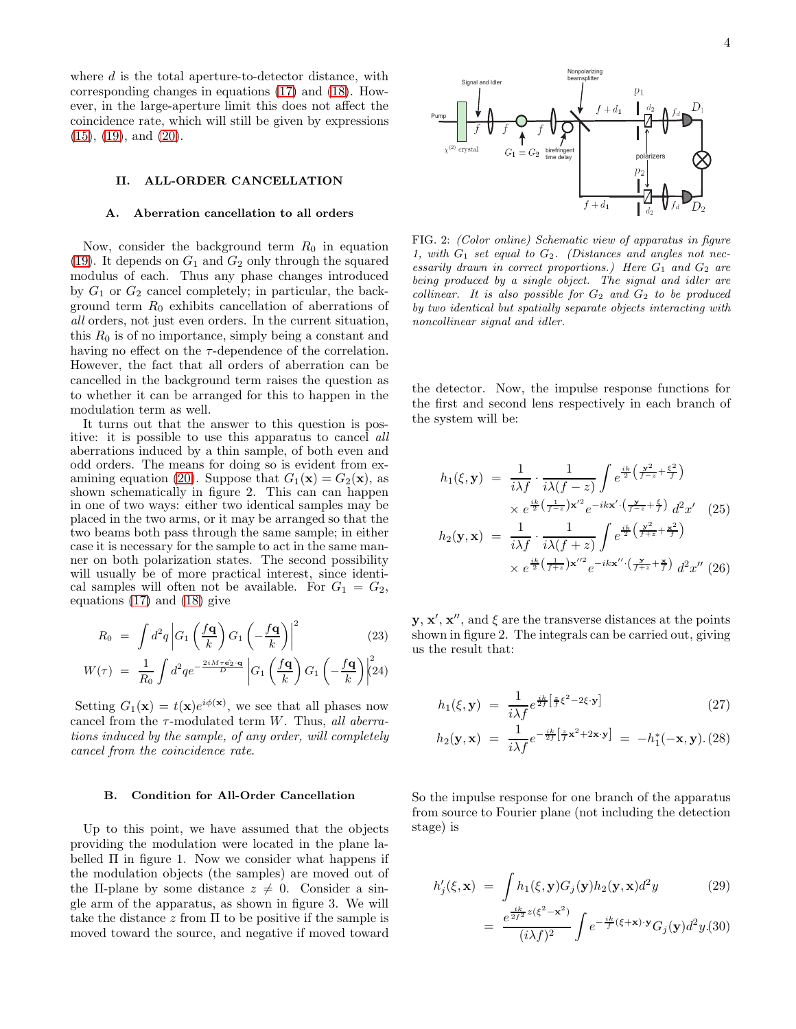where  $d$  is the total aperture-to-detector distance, with corresponding changes in equations [\(17\)](#page-2-0) and [\(18\)](#page-2-0). However, in the large-aperture limit this does not affect the coincidence rate, which will still be given by expressions [\(15\)](#page-2-3), [\(19\)](#page-2-1), and [\(20\)](#page-2-1).

#### II. ALL-ORDER CANCELLATION

## A. Aberration cancellation to all orders

Now, consider the background term  $R_0$  in equation [\(19\)](#page-2-1). It depends on  $G_1$  and  $G_2$  only through the squared modulus of each. Thus any phase changes introduced by  $G_1$  or  $G_2$  cancel completely; in particular, the background term  $R_0$  exhibits cancellation of aberrations of all orders, not just even orders. In the current situation, this  $R_0$  is of no importance, simply being a constant and having no effect on the  $\tau$ -dependence of the correlation. However, the fact that all orders of aberration can be cancelled in the background term raises the question as to whether it can be arranged for this to happen in the modulation term as well.

It turns out that the answer to this question is positive: it is possible to use this apparatus to cancel all aberrations induced by a thin sample, of both even and odd orders. The means for doing so is evident from ex-amining equation [\(20\)](#page-2-1). Suppose that  $G_1(\mathbf{x}) = G_2(\mathbf{x})$ , as shown schematically in figure 2. This can can happen in one of two ways: either two identical samples may be placed in the two arms, or it may be arranged so that the two beams both pass through the same sample; in either case it is necessary for the sample to act in the same manner on both polarization states. The second possibility will usually be of more practical interest, since identical samples will often not be available. For  $G_1 = G_2$ , equations [\(17\)](#page-2-0) and [\(18\)](#page-2-0) give

<span id="page-3-0"></span>
$$
R_0 = \int d^2q \left| G_1 \left( \frac{f\mathbf{q}}{k} \right) G_1 \left( -\frac{f\mathbf{q}}{k} \right) \right|^2 \tag{23}
$$

$$
W(\tau) = \frac{1}{R_0} \int d^2q e^{-\frac{2iM\tau \mathbf{e}_2 \cdot \mathbf{q}}{D}} \left| G_1 \left( \frac{f\mathbf{q}}{k} \right) G_1 \left( -\frac{f\mathbf{q}}{k} \right) \right|^2 \tag{24}
$$

Setting  $G_1(\mathbf{x}) = t(\mathbf{x})e^{i\phi(\mathbf{x})}$ , we see that all phases now cancel from the  $\tau$ -modulated term W. Thus, all aberrations induced by the sample, of any order, will completely cancel from the coincidence rate.

## B. Condition for All-Order Cancellation

Up to this point, we have assumed that the objects providing the modulation were located in the plane labelled  $\Pi$  in figure 1. Now we consider what happens if the modulation objects (the samples) are moved out of the II-plane by some distance  $z \neq 0$ . Consider a single arm of the apparatus, as shown in figure 3. We will take the distance  $z$  from  $\Pi$  to be positive if the sample is moved toward the source, and negative if moved toward 4



FIG. 2: (Color online) Schematic view of apparatus in figure 1, with  $G_1$  set equal to  $G_2$ . (Distances and angles not necessarily drawn in correct proportions.) Here  $G_1$  and  $G_2$  are being produced by a single object. The signal and idler are collinear. It is also possible for  $G_2$  and  $G_2$  to be produced by two identical but spatially separate objects interacting with noncollinear signal and idler.

the detector. Now, the impulse response functions for the first and second lens respectively in each branch of the system will be:

$$
h_1(\xi, \mathbf{y}) = \frac{1}{i\lambda f} \cdot \frac{1}{i\lambda (f-z)} \int e^{\frac{ik}{2} \left(\frac{\mathbf{y}^2}{f-z} + \frac{\xi^2}{f}\right)} \times e^{\frac{ik}{2} \left(\frac{1}{f-z}\right) \mathbf{x}'^2} e^{-ik\mathbf{x}' \cdot \left(\frac{\mathbf{y}}{f-z} + \frac{\xi}{f}\right)} d^2 x' \quad (25)
$$

$$
h_2(\mathbf{y}, \mathbf{x}) = \frac{1}{i\lambda f} \cdot \frac{1}{i\lambda (f+z)} \int e^{\frac{ik}{2} \left(\frac{\mathbf{y}^2}{f+z} + \frac{\mathbf{x}^2}{f}\right)} \times e^{\frac{ik}{2} \left(\frac{1}{f+z}\right) \mathbf{x}''^2} e^{-ik\mathbf{x}'' \cdot \left(\frac{\mathbf{y}}{f+z} + \frac{\mathbf{x}^2}{f}\right)} d^2 x'' \quad (26)
$$

**y**, **x'**, **x''**, and  $\xi$  are the transverse distances at the points shown in figure 2. The integrals can be carried out, giving us the result that:

$$
h_1(\xi, \mathbf{y}) = \frac{1}{i\lambda f} e^{\frac{ik}{2f} \left[ \frac{z}{f} \xi^2 - 2\xi \cdot \mathbf{y} \right]}
$$
 (27)

$$
h_2(\mathbf{y}, \mathbf{x}) = \frac{1}{i\lambda f} e^{-\frac{ik}{2f} \left[ \frac{x}{f} \mathbf{x}^2 + 2\mathbf{x} \cdot \mathbf{y} \right]} = -h_1^*(-\mathbf{x}, \mathbf{y}). (28)
$$

So the impulse response for one branch of the apparatus from source to Fourier plane (not including the detection stage) is

$$
h'_{j}(\xi, \mathbf{x}) = \int h_{1}(\xi, \mathbf{y}) G_{j}(\mathbf{y}) h_{2}(\mathbf{y}, \mathbf{x}) d^{2}y
$$
\n
$$
= \frac{e^{\frac{ik}{2f^{2}}z(\xi^{2} - \mathbf{x}^{2})}}{(i\lambda f)^{2}} \int e^{-\frac{ik}{f}(\xi + \mathbf{x}) \cdot \mathbf{y}} G_{j}(\mathbf{y}) d^{2}y.(30)
$$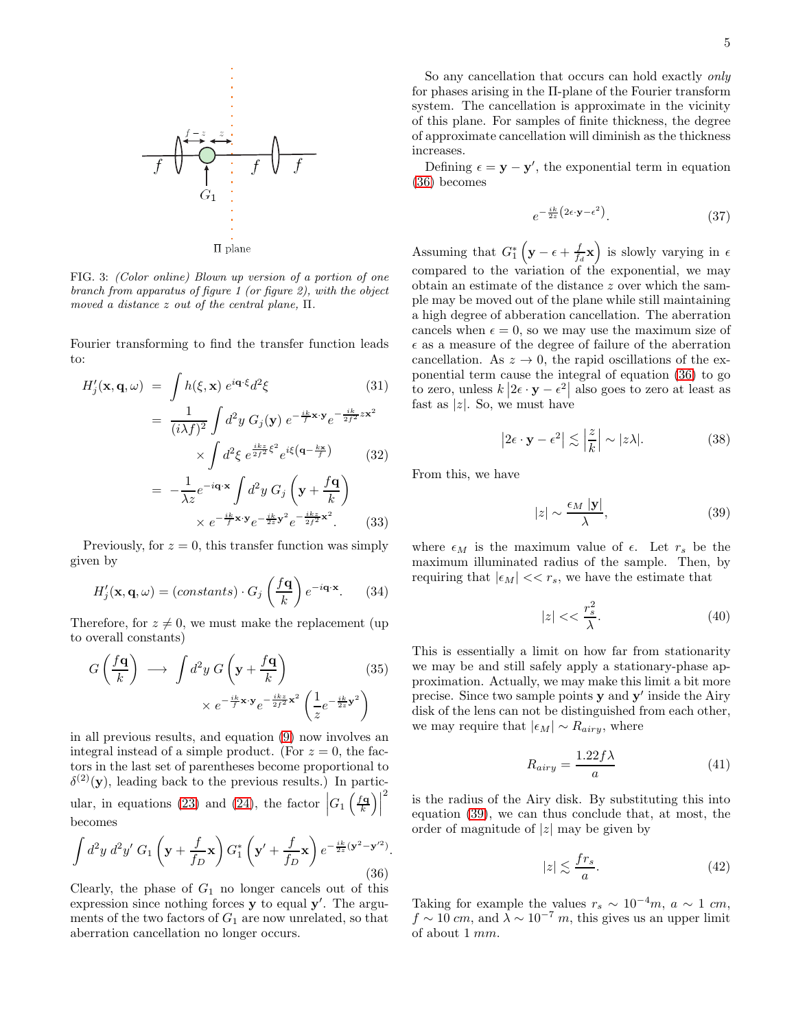

FIG. 3: (Color online) Blown up version of a portion of one branch from apparatus of figure 1 (or figure 2), with the object moved a distance z out of the central plane, Π.

Fourier transforming to find the transfer function leads to:

$$
H'_{j}(\mathbf{x}, \mathbf{q}, \omega) = \int h(\xi, \mathbf{x}) e^{i\mathbf{q} \cdot \xi} d^{2}\xi
$$
(31)  

$$
= \frac{1}{(i\lambda f)^{2}} \int d^{2}y G_{j}(\mathbf{y}) e^{-\frac{ik}{f} \mathbf{x} \cdot \mathbf{y}} e^{-\frac{ik}{2f^{2}} z \mathbf{x}^{2}}
$$

$$
\times \int d^{2}\xi e^{\frac{ikz}{2f^{2}} \xi^{2}} e^{i\xi(\mathbf{q} - \frac{k\mathbf{x}}{f})}
$$
(32)  

$$
= -\frac{1}{\lambda z} e^{-i\mathbf{q} \cdot \mathbf{x}} \int d^{2}y G_{j}(\mathbf{y} + \frac{f\mathbf{q}}{k})
$$

$$
\times e^{-\frac{ik}{f} \mathbf{x} \cdot \mathbf{y}} e^{-\frac{ik}{2z} \mathbf{y}^{2}} e^{-\frac{ikz}{2f^{2}} \mathbf{x}^{2}}.
$$
(33)

Previously, for  $z = 0$ , this transfer function was simply given by

$$
H'_{j}(\mathbf{x}, \mathbf{q}, \omega) = (constants) \cdot G_{j} \left(\frac{f\mathbf{q}}{k}\right) e^{-i\mathbf{q} \cdot \mathbf{x}}.
$$
 (34)

Therefore, for  $z \neq 0$ , we must make the replacement (up to overall constants)

$$
G\left(\frac{f\mathbf{q}}{k}\right) \longrightarrow \int d^2y \ G\left(\mathbf{y} + \frac{f\mathbf{q}}{k}\right) \times e^{-\frac{ik}{f}\mathbf{x}\cdot\mathbf{y}} e^{-\frac{ik}{2f^2}\mathbf{x}^2} \left(\frac{1}{z} e^{-\frac{ik}{2z}\mathbf{y}^2}\right)
$$
(35)

in all previous results, and equation [\(9\)](#page-1-0) now involves an integral instead of a simple product. (For  $z = 0$ , the factors in the last set of parentheses become proportional to  $\delta^{(2)}(\mathbf{y})$ , leading back to the previous results.) In partic-ular, in equations [\(23\)](#page-3-0) and [\(24\)](#page-3-0), the factor  $\left| G_1 \left( \frac{f \cdot \mathbf{q}}{k} \right) \right|$ 2 becomes

<span id="page-4-0"></span>
$$
\int d^2y \, d^2y' \, G_1\left(\mathbf{y} + \frac{f}{f_D}\mathbf{x}\right) G_1^*\left(\mathbf{y}' + \frac{f}{f_D}\mathbf{x}\right) e^{-\frac{ik}{2z}(\mathbf{y}^2 - \mathbf{y}'^2)}.
$$
\n(36)

Clearly, the phase of  $G_1$  no longer cancels out of this expression since nothing forces  $y$  to equal  $y'$ . The arguments of the two factors of  $G_1$  are now unrelated, so that aberration cancellation no longer occurs.

So any cancellation that occurs can hold exactly only for phases arising in the Π-plane of the Fourier transform system. The cancellation is approximate in the vicinity of this plane. For samples of finite thickness, the degree of approximate cancellation will diminish as the thickness increases.

Defining  $\epsilon = y - y'$ , the exponential term in equation [\(36\)](#page-4-0) becomes

$$
e^{-\frac{ik}{2z}\left(2\epsilon \cdot \mathbf{y} - \epsilon^2\right)}.\tag{37}
$$

Assuming that  $G_1^* \left( \mathbf{y} - \epsilon + \frac{f}{f_d} \mathbf{x} \right)$  is slowly varying in  $\epsilon$ compared to the variation of the exponential, we may obtain an estimate of the distance z over which the sample may be moved out of the plane while still maintaining a high degree of abberation cancellation. The aberration cancels when  $\epsilon = 0$ , so we may use the maximum size of  $\epsilon$  as a measure of the degree of failure of the aberration cancellation. As  $z \to 0$ , the rapid oscillations of the exponential term cause the integral of equation [\(36\)](#page-4-0) to go to zero, unless  $k | 2\epsilon \cdot y - \epsilon^2|$  also goes to zero at least as fast as  $|z|$ . So, we must have

$$
\left|2\epsilon \cdot \mathbf{y} - \epsilon^2\right| \lesssim \left|\frac{z}{k}\right| \sim |z\lambda|.\tag{38}
$$

From this, we have

<span id="page-4-1"></span>
$$
|z| \sim \frac{\epsilon_M |\mathbf{y}|}{\lambda},\tag{39}
$$

where  $\epsilon_M$  is the maximum value of  $\epsilon$ . Let  $r_s$  be the maximum illuminated radius of the sample. Then, by requiring that  $|\epsilon_M| << r_s$ , we have the estimate that

$$
|z| << \frac{r_s^2}{\lambda}.\tag{40}
$$

This is essentially a limit on how far from stationarity we may be and still safely apply a stationary-phase approximation. Actually, we may make this limit a bit more precise. Since two sample points **y** and **y'** inside the Airy disk of the lens can not be distinguished from each other, we may require that  $|\epsilon_M| \sim R_{airy}$ , where

$$
R_{airy} = \frac{1.22f\lambda}{a} \tag{41}
$$

is the radius of the Airy disk. By substituting this into equation [\(39\)](#page-4-1), we can thus conclude that, at most, the order of magnitude of  $|z|$  may be given by

$$
|z| \lesssim \frac{fr_s}{a}.\tag{42}
$$

Taking for example the values  $r_s \sim 10^{-4}m$ ,  $a \sim 1$  cm,  $f \sim 10$  cm, and  $\lambda \sim 10^{-7}$  m, this gives us an upper limit of about 1 mm.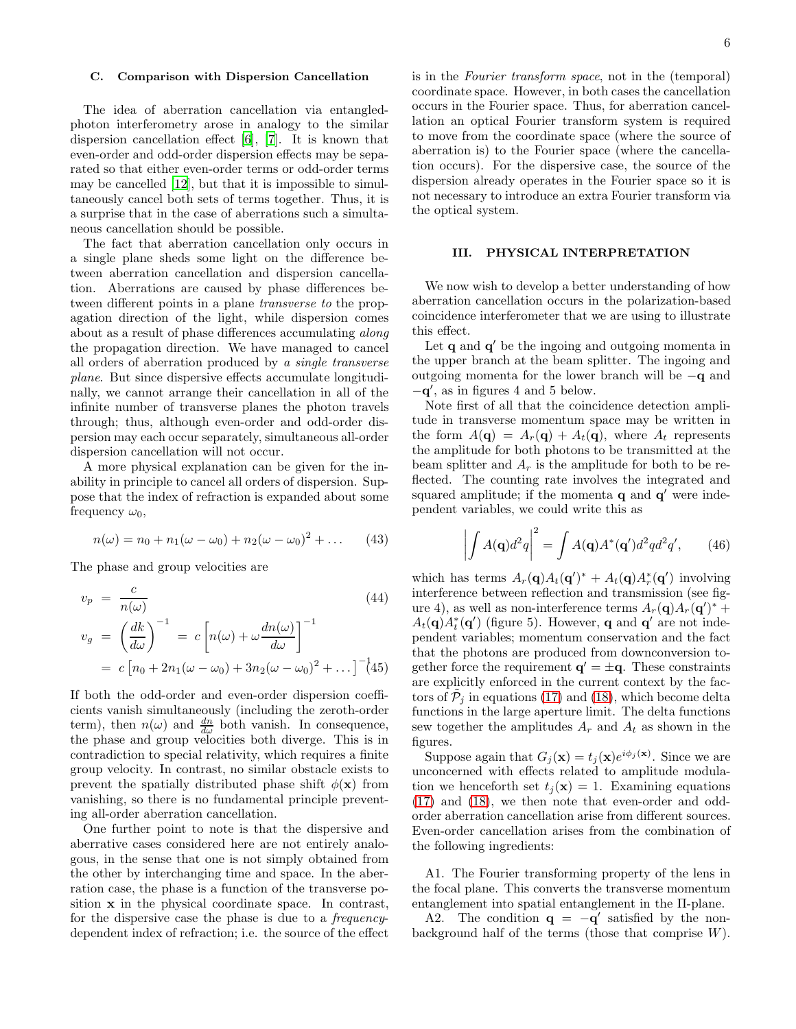## C. Comparison with Dispersion Cancellation

The idea of aberration cancellation via entangledphoton interferometry arose in analogy to the similar dispersion cancellation effect [\[6](#page-7-5)], [\[7](#page-7-6)]. It is known that even-order and odd-order dispersion effects may be separated so that either even-order terms or odd-order terms may be cancelled [\[12](#page-7-11)], but that it is impossible to simultaneously cancel both sets of terms together. Thus, it is a surprise that in the case of aberrations such a simultaneous cancellation should be possible.

The fact that aberration cancellation only occurs in a single plane sheds some light on the difference between aberration cancellation and dispersion cancellation. Aberrations are caused by phase differences between different points in a plane transverse to the propagation direction of the light, while dispersion comes about as a result of phase differences accumulating along the propagation direction. We have managed to cancel all orders of aberration produced by a single transverse plane. But since dispersive effects accumulate longitudinally, we cannot arrange their cancellation in all of the infinite number of transverse planes the photon travels through; thus, although even-order and odd-order dispersion may each occur separately, simultaneous all-order dispersion cancellation will not occur.

A more physical explanation can be given for the inability in principle to cancel all orders of dispersion. Suppose that the index of refraction is expanded about some frequency  $\omega_0$ ,

$$
n(\omega) = n_0 + n_1(\omega - \omega_0) + n_2(\omega - \omega_0)^2 + \dots \qquad (43)
$$

The phase and group velocities are

$$
v_p = \frac{c}{n(\omega)}
$$
\n
$$
v_g = \left(\frac{dk}{d\omega}\right)^{-1} = c\left[n(\omega) + \omega\frac{dn(\omega)}{d\omega}\right]^{-1}
$$
\n
$$
= c\left[n_0 + 2n_1(\omega - \omega_0) + 3n_2(\omega - \omega_0)^2 + \dots\right]^{-1}\tag{45}
$$

If both the odd-order and even-order dispersion coefficients vanish simultaneously (including the zeroth-order term), then  $n(\omega)$  and  $\frac{dn}{d\omega}$  both vanish. In consequence, the phase and group velocities both diverge. This is in contradiction to special relativity, which requires a finite group velocity. In contrast, no similar obstacle exists to prevent the spatially distributed phase shift  $\phi(\mathbf{x})$  from vanishing, so there is no fundamental principle preventing all-order aberration cancellation.

One further point to note is that the dispersive and aberrative cases considered here are not entirely analogous, in the sense that one is not simply obtained from the other by interchanging time and space. In the aberration case, the phase is a function of the transverse position x in the physical coordinate space. In contrast, for the dispersive case the phase is due to a frequencydependent index of refraction; i.e. the source of the effect

is in the Fourier transform space, not in the (temporal) coordinate space. However, in both cases the cancellation occurs in the Fourier space. Thus, for aberration cancellation an optical Fourier transform system is required to move from the coordinate space (where the source of aberration is) to the Fourier space (where the cancellation occurs). For the dispersive case, the source of the dispersion already operates in the Fourier space so it is not necessary to introduce an extra Fourier transform via the optical system.

## III. PHYSICAL INTERPRETATION

We now wish to develop a better understanding of how aberration cancellation occurs in the polarization-based coincidence interferometer that we are using to illustrate this effect.

Let  $\mathbf q$  and  $\mathbf q'$  be the ingoing and outgoing momenta in the upper branch at the beam splitter. The ingoing and outgoing momenta for the lower branch will be −q and −q ′ , as in figures 4 and 5 below.

Note first of all that the coincidence detection amplitude in transverse momentum space may be written in the form  $A(\mathbf{q}) = A_r(\mathbf{q}) + A_t(\mathbf{q})$ , where  $A_t$  represents the amplitude for both photons to be transmitted at the beam splitter and  $A_r$  is the amplitude for both to be reflected. The counting rate involves the integrated and squared amplitude; if the momenta  $q$  and  $q'$  were independent variables, we could write this as

$$
\left| \int A(\mathbf{q}) d^2 q \right|^2 = \int A(\mathbf{q}) A^*(\mathbf{q}') d^2 q d^2 q', \qquad (46)
$$

which has terms  $A_r(\mathbf{q})A_t(\mathbf{q}')^* + A_t(\mathbf{q})A_r^*(\mathbf{q}')$  involving interference between reflection and transmission (see figure 4), as well as non-interference terms  $A_r(\mathbf{q})A_r(\mathbf{q}')^*$  +  $A_t(\mathbf{q})A_t^*(\mathbf{q}')$  (figure 5). However, **q** and **q'** are not independent variables; momentum conservation and the fact that the photons are produced from downconversion together force the requirement  $\mathbf{q}' = \pm \mathbf{q}$ . These constraints are explicitly enforced in the current context by the factors of  $\tilde{P}_j$  in equations [\(17\)](#page-2-0) and [\(18\)](#page-2-0), which become delta functions in the large aperture limit. The delta functions sew together the amplitudes  $A_r$  and  $A_t$  as shown in the figures.

Suppose again that  $G_j(\mathbf{x}) = t_j(\mathbf{x})e^{i\phi_j(\mathbf{x})}$ . Since we are unconcerned with effects related to amplitude modulation we henceforth set  $t_i(\mathbf{x}) = 1$ . Examining equations [\(17\)](#page-2-0) and [\(18\)](#page-2-0), we then note that even-order and oddorder aberration cancellation arise from different sources. Even-order cancellation arises from the combination of the following ingredients:

A1. The Fourier transforming property of the lens in the focal plane. This converts the transverse momentum entanglement into spatial entanglement in the Π-plane.

A2. The condition  $\mathbf{q} = -\mathbf{q}'$  satisfied by the nonbackground half of the terms (those that comprise  $W$ ).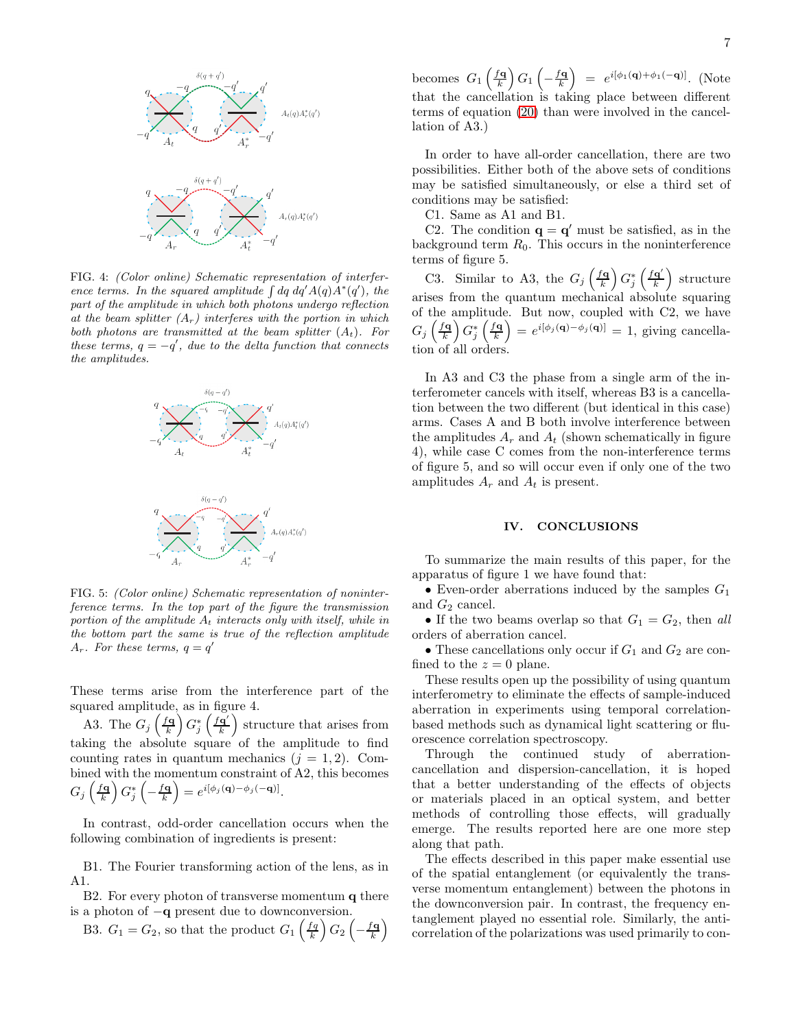

FIG. 4: (Color online) Schematic representation of interference terms. In the squared amplitude  $\int dq \ dq' A(q) A^*(q')$ , the part of the amplitude in which both photons undergo reflection at the beam splitter  $(A_r)$  interferes with the portion in which both photons are transmitted at the beam splitter  $(A_t)$ . For these terms,  $q = -q'$ , due to the delta function that connects the amplitudes.



FIG. 5: (Color online) Schematic representation of noninterference terms. In the top part of the figure the transmission portion of the amplitude  $A_t$  interacts only with itself, while in the bottom part the same is true of the reflection amplitude  $A_r$ . For these terms,  $q = q'$ 

These terms arise from the interference part of the squared amplitude, as in figure 4.

A3. The  $G_j\left(\frac{f\mathbf{q}}{k}\right)G_j^*\left(\frac{f\mathbf{q}'}{k}\right)$  $\left(\frac{\mathbf{q}'}{k}\right)$  structure that arises from taking the absolute square of the amplitude to find counting rates in quantum mechanics  $(j = 1, 2)$ . Combined with the momentum constraint of A2, this becomes  $G_j\left(\frac{f\mathbf{q}}{k}\right)G_j^*\left(-\frac{f\mathbf{q}}{k}\right)=e^{i[\phi_j(\mathbf{q})-\phi_j(-\mathbf{q})]}.$ 

In contrast, odd-order cancellation occurs when the following combination of ingredients is present:

B1. The Fourier transforming action of the lens, as in A1.

B2. For every photon of transverse momentum q there is a photon of −q present due to downconversion.

B3.  $G_1 = G_2$ , so that the product  $G_1\left(\frac{fq}{k}\right)G_2\left(-\frac{fq}{k}\right)$ 

becomes  $G_1\left(\frac{f\mathbf{q}}{k}\right)G_1\left(-\frac{f\mathbf{q}}{k}\right) = e^{i[\phi_1(\mathbf{q})+\phi_1(-\mathbf{q})]}$ . (Note that the cancellation is taking place between different terms of equation [\(20\)](#page-2-1) than were involved in the cancellation of A3.)

In order to have all-order cancellation, there are two possibilities. Either both of the above sets of conditions may be satisfied simultaneously, or else a third set of conditions may be satisfied:

C1. Same as A1 and B1.

C2. The condition  $\mathbf{q} = \mathbf{q}'$  must be satisfied, as in the background term  $R_0$ . This occurs in the noninterference terms of figure 5.

C3. Similar to A3, the  $G_j\left(\frac{f\mathbf{q}}{k}\right)G_j^*\left(\frac{f\mathbf{q}'}{k}\right)$  $\left(\frac{\mathbf{q}'}{k}\right)$  structure arises from the quantum mechanical absolute squaring of the amplitude. But now, coupled with C2, we have  $G_j\left(\frac{f\mathbf{q}}{k}\right)G_j^*\left(\frac{f\mathbf{q}}{k}\right)=e^{i[\phi_j(\mathbf{q})-\phi_j(\mathbf{q})]}=1$ , giving cancellation of all orders.

In A3 and C3 the phase from a single arm of the interferometer cancels with itself, whereas B3 is a cancellation between the two different (but identical in this case) arms. Cases A and B both involve interference between the amplitudes  $A_r$  and  $A_t$  (shown schematically in figure 4), while case C comes from the non-interference terms of figure 5, and so will occur even if only one of the two amplitudes  $A_r$  and  $A_t$  is present.

#### IV. CONCLUSIONS

To summarize the main results of this paper, for the apparatus of figure 1 we have found that:

• Even-order aberrations induced by the samples  $G_1$ and  $G_2$  cancel.

• If the two beams overlap so that  $G_1 = G_2$ , then all orders of aberration cancel.

• These cancellations only occur if  $G_1$  and  $G_2$  are confined to the  $z = 0$  plane.

These results open up the possibility of using quantum interferometry to eliminate the effects of sample-induced aberration in experiments using temporal correlationbased methods such as dynamical light scattering or fluorescence correlation spectroscopy.

Through the continued study of aberrationcancellation and dispersion-cancellation, it is hoped that a better understanding of the effects of objects or materials placed in an optical system, and better methods of controlling those effects, will gradually emerge. The results reported here are one more step along that path.

The effects described in this paper make essential use of the spatial entanglement (or equivalently the transverse momentum entanglement) between the photons in the downconversion pair. In contrast, the frequency entanglement played no essential role. Similarly, the anticorrelation of the polarizations was used primarily to con